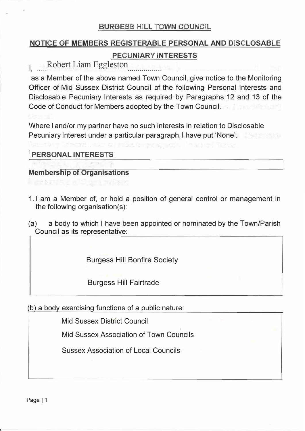### BURGESS HILL TOWN COUNCIL

# **NOTICE OF MEMBERS REGISTERABLE PERSONAL AND DISCLOSABLE PECUNIARY INTERESTS**

I, Robert Liam Eggleston

as a Member of the above named Town Council, give notice to the Monitoring Officer of Mid Sussex District Council of the following Personal Interests and Disclosable Pecuniary Interests as required by Paragraphs 12 and 13 of the Code of Conduct for Members adopted by the Town Council.

Where I and/or my partner have no such interests in relation to Disclosable Pecuniary Interest under a particular paragraph, I have put 'None'.

**I PERSONAL INTERESTS** 

#### **Membership of Organisations**

- 1. I am a Member of, or hold a position of general control or management in the following organisation(s):
- (a) a body to which I have been appointed or nominated by the Town/Parish Council as its representative:

Burgess Hill Bonfire Society

Burgess Hill Fairtrade

(b) a body exercising functions of a public nature:

Mid Sussex District Council

Mid Sussex Association of Town Councils

Sussex Association of Local Councils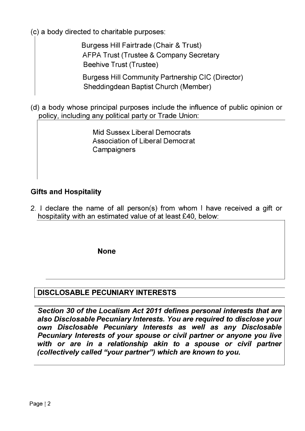(c) a body directed to charitable purposes:

Burgess Hill Fairtrade (Chair & Trust) AFPA Trust (Trustee & Company Secretary Beehive Trust (Trustee)

Burgess Hill Community Partnership CIC (Director) Sheddingdean Baptist Church (Member)

(d) a body whose principal purposes include the influence of public opinion or policy, including any political party or Trade Union:

> Mid Sussex Liberal Democrats Association of Liberal Democrat **Campaigners**

# **Gifts and Hospitality**

2. I declare the name of all person(s) from whom I have received a gift or hospitality with an estimated value of at least £40, below:

**None**

# **I DISCLOSABLE PECUNIARY INTERESTS**

*Section 30 of the Loca/ism Act 2011 defines personal interests that are also Disclosable Pecuniary Interests. You are required to disclose your own Disclosable Pecuniary Interests as well as any Disclosable Pecuniary Interests of your spouse or civil partner or anyone you live*  with or are in a relationship akin to a spouse or civil partner *(collectively called "your partner'? which are known to you.*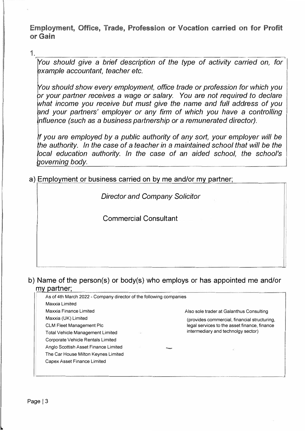**Employment, Office, Trade, Profession or Vocation carried on for Profit or Gain** 

1.�--------------------------� *You should give a brief description of the type of activity carried on, for example accountant, teacher etc.*

*You should show every employment, office trade or profession for which you or your partner receives a wage or salary. You are not required to declare what income you receive but must give the name and full address of you and your partners' employer or any firm of which you have* a *controlling influence (such as a business partnership or a remunerated director).*

*If you are employed by a public authority of any sort, your employer will be the authority. In the case of a teacher in* a *maintained school that will be the local education authority. In the case of an aided school, the school's governing body.*

a) Employment or business carried on by me and/or mv partner;

*Director and Company Solicitor*

Commercial Consultant

### b) Name of the person(s) or body(s) who employs or has appointed me and/or mv partner;

| As of 4th March 2022 - Company director of the following companies |                                              |  |  |
|--------------------------------------------------------------------|----------------------------------------------|--|--|
| Maxxia Limited                                                     |                                              |  |  |
| Maxxia Finance Limited                                             | Also sole trader at Galanthus Consulting     |  |  |
| Maxxia (UK) Limited                                                | (provides commercial, financial structuring, |  |  |
| <b>CLM Fleet Management Plc</b>                                    | legal services to the asset finance, finance |  |  |
| Total Vehicle Management Limited                                   | intermediary and technolgy sector)           |  |  |
| Corporate Vehicle Rentals Limited                                  |                                              |  |  |
| Anglo Scottish Asset Finance Limited                               |                                              |  |  |
| The Car House Milton Keynes Limited                                |                                              |  |  |
| Capex Asset Finance Limited                                        |                                              |  |  |
|                                                                    |                                              |  |  |
|                                                                    |                                              |  |  |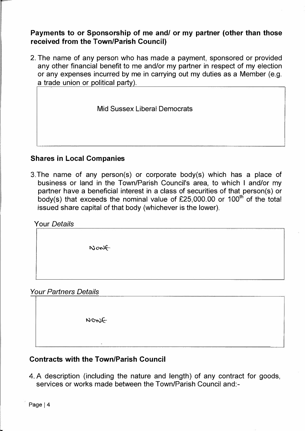**Payments to or Sponsorship of me and/ or my partner {other than those received from the Town/Parish Council)** 

2. The name of any person who has made a payment, sponsored or provided any other financial benefit to me and/or my partner in respect of my election or any expenses incurred by me in carrying out my duties as a Member (e.g. a trade union or political party).

Mid Sussex Liberal Democrats

#### **Shares in Local Companies**

3.The name of any person(s) or corporate body(s) which has a place of business or land in the Town/Parish Council's area, to which I and/or my partner have a beneficial interest in a class of securities of that person(s) or body(s) that exceeds the nominal value of £25,000.00 or 100<sup>th</sup> of the total issued share capital of that body (whichever is the lower).

| <b>Your Details</b>          |      |  |
|------------------------------|------|--|
|                              |      |  |
|                              | None |  |
|                              |      |  |
| <b>Your Partners Details</b> |      |  |
|                              |      |  |

NONG

# **Contracts with the Town/Parish Council**

4. A description (including the nature and length) of any contract for goods, services or works made between the Town/Parish Council and:-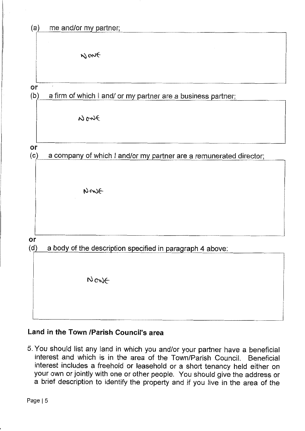

# Land in the Town /Parish Council's area

5. You should list any land in which you and/or your partner have a beneficial interest and which is in the area of the Town/Parish Council. Beneficial interest includes a freehold or leasehold or a short tenancy held either on your own or jointly with one or other people. You should give the address or a brief description to identify the property and if you live in the area of the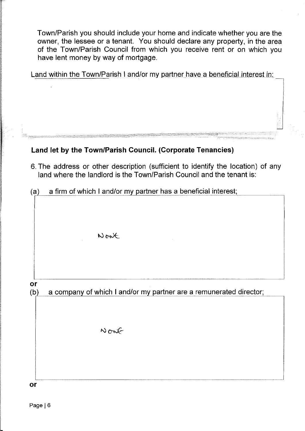Town/Parish you should include your home and indicate whether you are the owner, the lessee or a tenant. You should declare any property, in the area of the Town/Parish Council from which you receive rent or on which you have lent money by way of mortgage.

Land within the Town/Parish I and/or my partner have a beneficial interest in:

#### Land let by the Town/Parish Council. (Corporate Tenancies)

- 6. The address or other description (sufficient to identify the location) of any land where the landlord is the Town/Parish Council and the tenant is:
- a firm of which I and/or my partner has a beneficial interest;  $(a)$

Nont

or

a company of which I and/or my partner are a remunerated director;  $(b)$ 

Nont

or